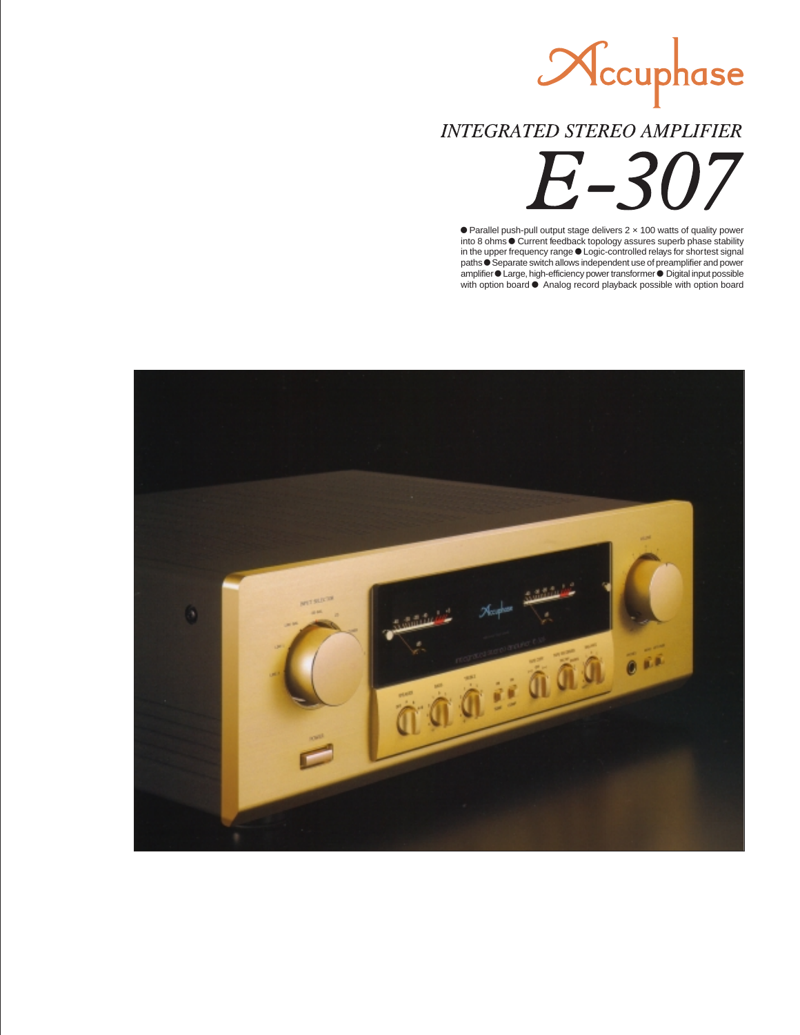Nccuphase

**INTEGRATED STEREO AMPLIFIER** 

 $7 - 31$ 

 Parallel push-pull output stage delivers 2 × 100 watts of quality power into 8 ohms  $\bullet$  Current feedback topology assures superb phase stability in the upper frequency range  $\bullet$  Logic-controlled relays for shortest signal paths  $\bullet$  Separate switch allows independent use of preamplifier and power amplifier Carge, high-efficiency power transformer C Digital input possible with option board  $\bullet$  Analog record playback possible with option board

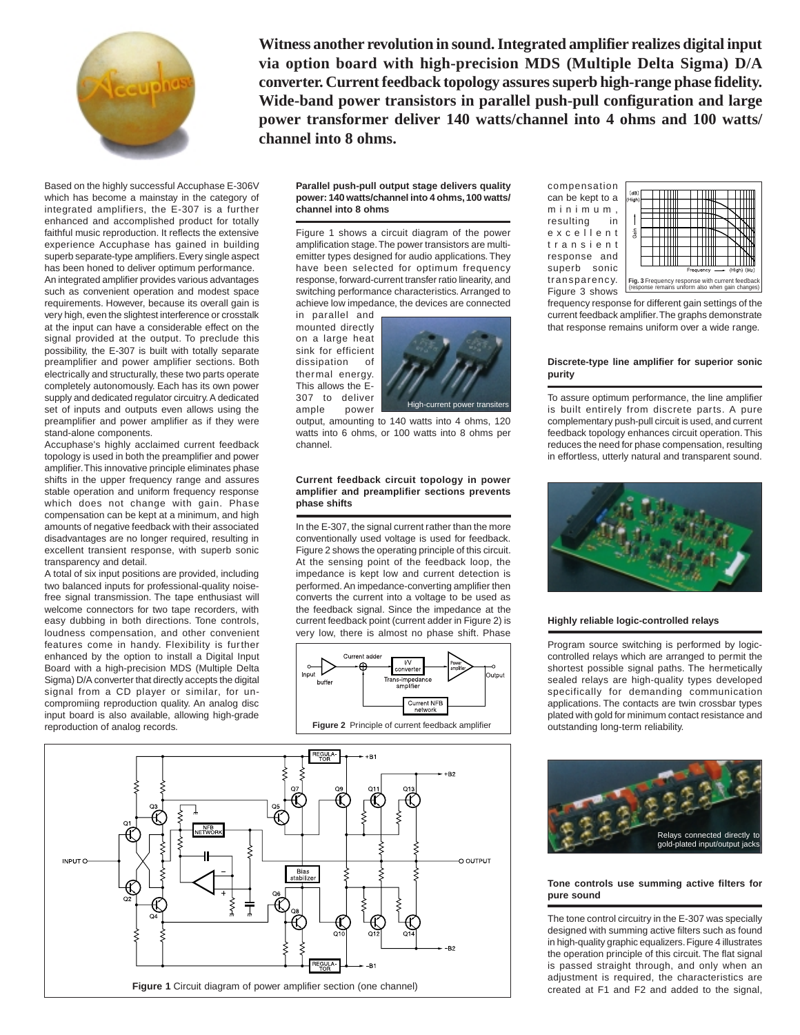

**Witness another revolution in sound. Integrated amplifier realizes digital input via option board with high-precision MDS (Multiple Delta Sigma) D/A converter. Current feedback topology assures superb high-range phase fidelity. Wide-band power transistors in parallel push-pull configuration and large power transformer deliver 140 watts/channel into 4 ohms and 100 watts/ channel into 8 ohms.**

Based on the highly successful Accuphase E-306V which has become a mainstay in the category of integrated amplifiers, the E-307 is a further enhanced and accomplished product for totally faithful music reproduction. It reflects the extensive experience Accuphase has gained in building superb separate-type amplifiers. Every single aspect has been honed to deliver optimum performance. An integrated amplifier provides various advantages such as convenient operation and modest space requirements. However, because its overall gain is very high, even the slightest interference or crosstalk at the input can have a considerable effect on the signal provided at the output. To preclude this possibility, the E-307 is built with totally separate preamplifier and power amplifier sections. Both electrically and structurally, these two parts operate completely autonomously. Each has its own power supply and dedicated regulator circuitry. A dedicated set of inputs and outputs even allows using the preamplifier and power amplifier as if they were stand-alone components.

Accuphase's highly acclaimed current feedback topology is used in both the preamplifier and power amplifier. This innovative principle eliminates phase shifts in the upper frequency range and assures stable operation and uniform frequency response which does not change with gain. Phase compensation can be kept at a minimum, and high amounts of negative feedback with their associated disadvantages are no longer required, resulting in excellent transient response, with superb sonic transparency and detail.

A total of six input positions are provided, including two balanced inputs for professional-quality noisefree signal transmission. The tape enthusiast will welcome connectors for two tape recorders, with easy dubbing in both directions. Tone controls, loudness compensation, and other convenient features come in handy. Flexibility is further enhanced by the option to install a Digital Input Board with a high-precision MDS (Multiple Delta Sigma) D/A converter that directly accepts the digital signal from a CD player or similar, for uncompromiing reproduction quality. An analog disc input board is also available, allowing high-grade reproduction of analog records.



#### **Parallel push-pull output stage delivers quality power: 140 watts/channel into 4 ohms, 100 watts/ channel into 8 ohms**

Figure 1 shows a circuit diagram of the power amplification stage. The power transistors are multiemitter types designed for audio applications. They have been selected for optimum frequency response, forward-current transfer ratio linearity, and switching performance characteristics. Arranged to achieve low impedance, the devices are connected

in parallel and mounted directly on a large heat sink for efficient dissipation of thermal energy. This allows the E-307 to deliver ample power



output, amounting to 140 watts into 4 ohms, 120 watts into 6 ohms, or 100 watts into 8 ohms per channel.

### **Current feedback circuit topology in power amplifier and preamplifier sections prevents phase shifts**

In the E-307, the signal current rather than the more conventionally used voltage is used for feedback. Figure 2 shows the operating principle of this circuit. At the sensing point of the feedback loop, the impedance is kept low and current detection is performed. An impedance-converting amplifier then converts the current into a voltage to be used as the feedback signal. Since the impedance at the current feedback point (current adder in Figure 2) is very low, there is almost no phase shift. Phase



compensation can be kept to a minimum, resulting in excellent transient response and superb sonic transparency. Figure 3 shows



frequency response for different gain settings of the current feedback amplifier. The graphs demonstrate that response remains uniform over a wide range.

#### **Discrete-type line amplifier for superior sonic purity**

To assure optimum performance, the line amplifier is built entirely from discrete parts. A pure complementary push-pull circuit is used, and current feedback topology enhances circuit operation. This reduces the need for phase compensation, resulting in effortless, utterly natural and transparent sound.



#### **Highly reliable logic-controlled relays**

Program source switching is performed by logiccontrolled relays which are arranged to permit the shortest possible signal paths. The hermetically sealed relays are high-quality types developed specifically for demanding communication applications. The contacts are twin crossbar types plated with gold for minimum contact resistance and outstanding long-term reliability.



### **Tone controls use summing active filters for pure sound**

The tone control circuitry in the E-307 was specially designed with summing active filters such as found in high-quality graphic equalizers. Figure 4 illustrates the operation principle of this circuit. The flat signal is passed straight through, and only when an adjustment is required, the characteristics are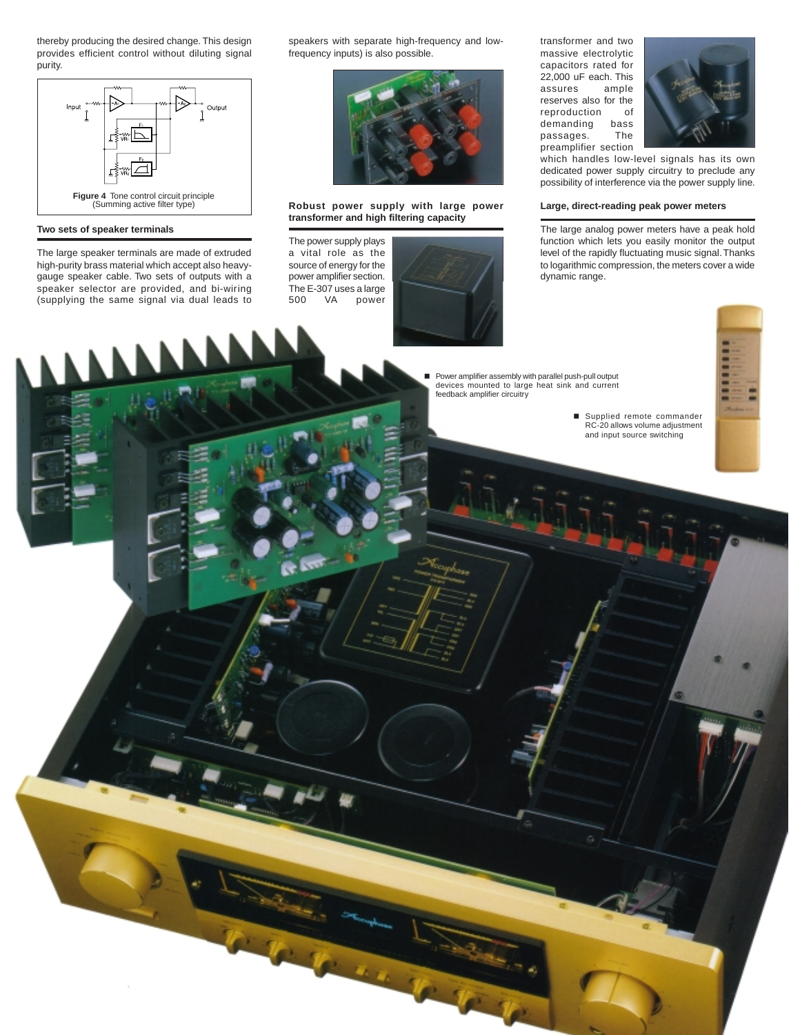thereby producing the desired change. This design provides efficient control without diluting signal purity.



#### **Two sets of speaker terminals**

The large speaker terminals are made of extruded high-purity brass material which accept also heavygauge speaker cable. Two sets of outputs with a speaker selector are provided, and bi-wiring (supplying the same signal via dual leads to

speakers with separate high-frequency and lowfrequency inputs) is also possible.



### **Robust power supply with large power transformer and high filtering capacity**

The power supply plays a vital role as the source of energy for the power amplifier section. The E-307 uses a large 500 VA power



transformer and two massive electrolytic capacitors rated for 22,000 uF each. This assures ample reserves also for the reproduction of demanding bass passages. The preamplifier section



which handles low-level signals has its own dedicated power supply circuitry to preclude any possibility of interference via the power supply line.

#### **Large, direct-reading peak power meters**

The large analog power meters have a peak hold function which lets you easily monitor the output level of the rapidly fluctuating music signal. Thanks to logarithmic compression, the meters cover a wide dynamic range.

 Power amplifier assembly with parallel push-pull output devices mounted to large heat sink and current feedback amplifier circuitry



 Supplied remote commander RC-20 allows volume adjustment and input source switching